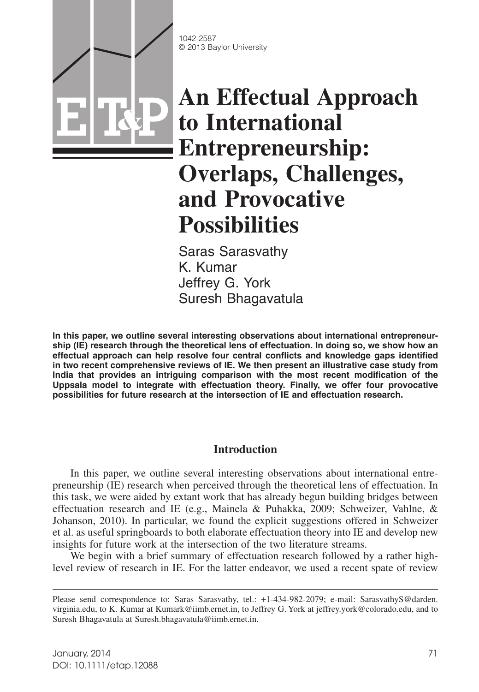

1042-2587 © 2013 Baylor University

# **An Effectual Approach to International Entrepreneurship: Overlaps, Challenges, and Provocative Possibilities**

Saras Sarasvathy K. Kumar Jeffrey G. York Suresh Bhagavatula

**In this paper, we outline several interesting observations about international entrepreneurship (IE) research through the theoretical lens of effectuation. In doing so, we show how an effectual approach can help resolve four central conflicts and knowledge gaps identified in two recent comprehensive reviews of IE. We then present an illustrative case study from India that provides an intriguing comparison with the most recent modification of the Uppsala model to integrate with effectuation theory. Finally, we offer four provocative possibilities for future research at the intersection of IE and effectuation research.**

# **Introduction**

In this paper, we outline several interesting observations about international entrepreneurship (IE) research when perceived through the theoretical lens of effectuation. In this task, we were aided by extant work that has already begun building bridges between effectuation research and IE (e.g., Mainela & Puhakka, 2009; Schweizer, Vahlne, & Johanson, 2010). In particular, we found the explicit suggestions offered in Schweizer et al. as useful springboards to both elaborate effectuation theory into IE and develop new insights for future work at the intersection of the two literature streams.

We begin with a brief summary of effectuation research followed by a rather highlevel review of research in IE. For the latter endeavor, we used a recent spate of review

Please send correspondence to: Saras Sarasvathy, tel.: +1-434-982-2079; e-mail: SarasvathyS@darden. virginia.edu, to K. Kumar at Kumark@iimb.ernet.in, to Jeffrey G. York at jeffrey.york@colorado.edu, and to Suresh Bhagavatula at Suresh.bhagavatula@iimb.ernet.in.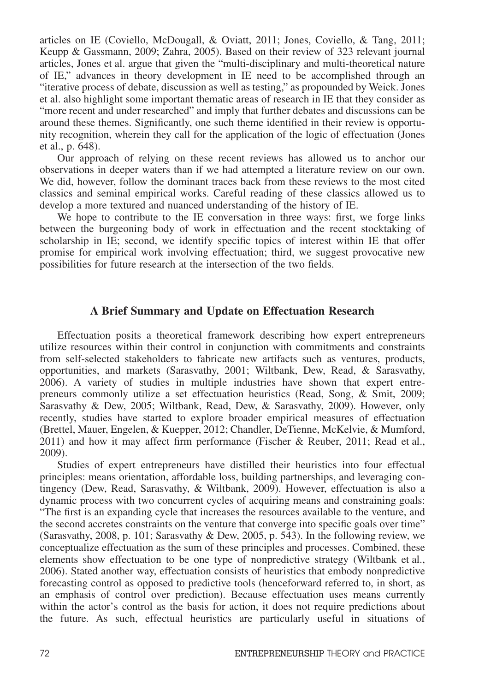articles on IE (Coviello, McDougall, & Oviatt, 2011; Jones, Coviello, & Tang, 2011; Keupp & Gassmann, 2009; Zahra, 2005). Based on their review of 323 relevant journal articles, Jones et al. argue that given the "multi-disciplinary and multi-theoretical nature of IE," advances in theory development in IE need to be accomplished through an "iterative process of debate, discussion as well as testing," as propounded by Weick. Jones et al. also highlight some important thematic areas of research in IE that they consider as "more recent and under researched" and imply that further debates and discussions can be around these themes. Significantly, one such theme identified in their review is opportunity recognition, wherein they call for the application of the logic of effectuation (Jones et al., p. 648).

Our approach of relying on these recent reviews has allowed us to anchor our observations in deeper waters than if we had attempted a literature review on our own. We did, however, follow the dominant traces back from these reviews to the most cited classics and seminal empirical works. Careful reading of these classics allowed us to develop a more textured and nuanced understanding of the history of IE.

We hope to contribute to the IE conversation in three ways: first, we forge links between the burgeoning body of work in effectuation and the recent stocktaking of scholarship in IE; second, we identify specific topics of interest within IE that offer promise for empirical work involving effectuation; third, we suggest provocative new possibilities for future research at the intersection of the two fields.

## **A Brief Summary and Update on Effectuation Research**

Effectuation posits a theoretical framework describing how expert entrepreneurs utilize resources within their control in conjunction with commitments and constraints from self-selected stakeholders to fabricate new artifacts such as ventures, products, opportunities, and markets (Sarasvathy, 2001; Wiltbank, Dew, Read, & Sarasvathy, 2006). A variety of studies in multiple industries have shown that expert entrepreneurs commonly utilize a set effectuation heuristics (Read, Song, & Smit, 2009; Sarasvathy & Dew, 2005; Wiltbank, Read, Dew, & Sarasvathy, 2009). However, only recently, studies have started to explore broader empirical measures of effectuation (Brettel, Mauer, Engelen, & Kuepper, 2012; Chandler, DeTienne, McKelvie, & Mumford, 2011) and how it may affect firm performance (Fischer & Reuber, 2011; Read et al., 2009).

Studies of expert entrepreneurs have distilled their heuristics into four effectual principles: means orientation, affordable loss, building partnerships, and leveraging contingency (Dew, Read, Sarasvathy, & Wiltbank, 2009). However, effectuation is also a dynamic process with two concurrent cycles of acquiring means and constraining goals: "The first is an expanding cycle that increases the resources available to the venture, and the second accretes constraints on the venture that converge into specific goals over time" (Sarasvathy, 2008, p. 101; Sarasvathy & Dew, 2005, p. 543). In the following review, we conceptualize effectuation as the sum of these principles and processes. Combined, these elements show effectuation to be one type of nonpredictive strategy (Wiltbank et al., 2006). Stated another way, effectuation consists of heuristics that embody nonpredictive forecasting control as opposed to predictive tools (henceforward referred to, in short, as an emphasis of control over prediction). Because effectuation uses means currently within the actor's control as the basis for action, it does not require predictions about the future. As such, effectual heuristics are particularly useful in situations of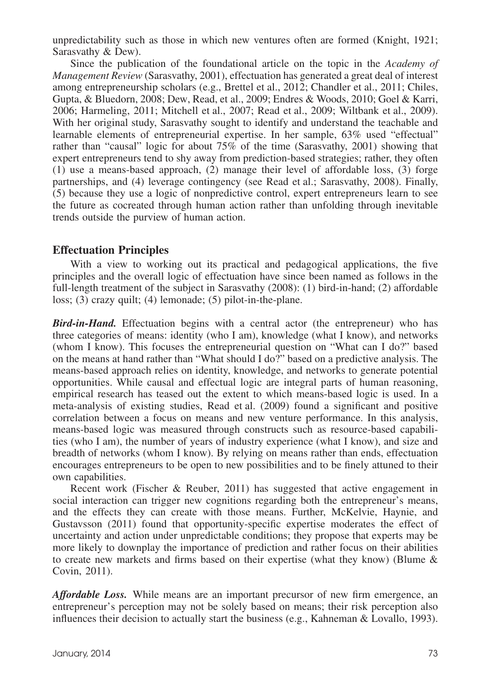unpredictability such as those in which new ventures often are formed (Knight, 1921; Sarasvathy & Dew).

Since the publication of the foundational article on the topic in the *Academy of Management Review* (Sarasvathy, 2001), effectuation has generated a great deal of interest among entrepreneurship scholars (e.g., Brettel et al., 2012; Chandler et al., 2011; Chiles, Gupta, & Bluedorn, 2008; Dew, Read, et al., 2009; Endres & Woods, 2010; Goel & Karri, 2006; Harmeling, 2011; Mitchell et al., 2007; Read et al., 2009; Wiltbank et al., 2009). With her original study, Sarasvathy sought to identify and understand the teachable and learnable elements of entrepreneurial expertise. In her sample, 63% used "effectual" rather than "causal" logic for about 75% of the time (Sarasvathy, 2001) showing that expert entrepreneurs tend to shy away from prediction-based strategies; rather, they often  $(1)$  use a means-based approach,  $(2)$  manage their level of affordable loss,  $(3)$  forge partnerships, and (4) leverage contingency (see Read et al.; Sarasvathy, 2008). Finally, (5) because they use a logic of nonpredictive control, expert entrepreneurs learn to see the future as cocreated through human action rather than unfolding through inevitable trends outside the purview of human action.

## **Effectuation Principles**

With a view to working out its practical and pedagogical applications, the five principles and the overall logic of effectuation have since been named as follows in the full-length treatment of the subject in Sarasvathy (2008): (1) bird-in-hand; (2) affordable loss; (3) crazy quilt; (4) lemonade; (5) pilot-in-the-plane.

*Bird-in-Hand.* Effectuation begins with a central actor (the entrepreneur) who has three categories of means: identity (who I am), knowledge (what I know), and networks (whom I know). This focuses the entrepreneurial question on "What can I do?" based on the means at hand rather than "What should I do?" based on a predictive analysis. The means-based approach relies on identity, knowledge, and networks to generate potential opportunities. While causal and effectual logic are integral parts of human reasoning, empirical research has teased out the extent to which means-based logic is used. In a meta-analysis of existing studies, Read et al. (2009) found a significant and positive correlation between a focus on means and new venture performance. In this analysis, means-based logic was measured through constructs such as resource-based capabilities (who I am), the number of years of industry experience (what I know), and size and breadth of networks (whom I know). By relying on means rather than ends, effectuation encourages entrepreneurs to be open to new possibilities and to be finely attuned to their own capabilities.

Recent work (Fischer & Reuber, 2011) has suggested that active engagement in social interaction can trigger new cognitions regarding both the entrepreneur's means, and the effects they can create with those means. Further, McKelvie, Haynie, and Gustavsson (2011) found that opportunity-specific expertise moderates the effect of uncertainty and action under unpredictable conditions; they propose that experts may be more likely to downplay the importance of prediction and rather focus on their abilities to create new markets and firms based on their expertise (what they know) (Blume & Covin, 2011).

*Affordable Loss.* While means are an important precursor of new firm emergence, an entrepreneur's perception may not be solely based on means; their risk perception also influences their decision to actually start the business (e.g., Kahneman & Lovallo, 1993).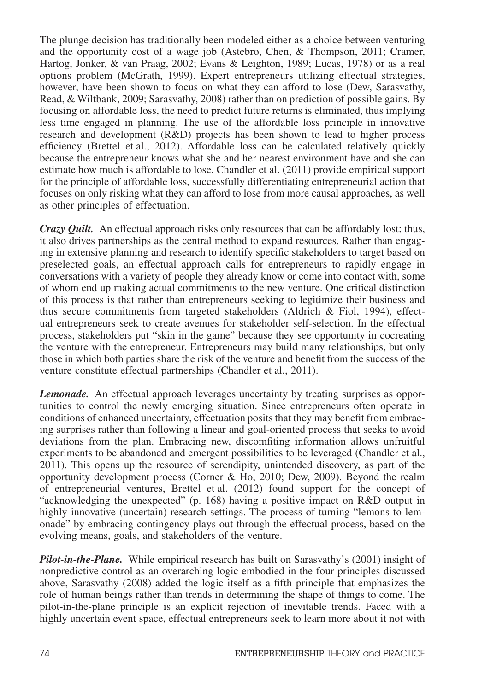The plunge decision has traditionally been modeled either as a choice between venturing and the opportunity cost of a wage job (Astebro, Chen, & Thompson, 2011; Cramer, Hartog, Jonker, & van Praag, 2002; Evans & Leighton, 1989; Lucas, 1978) or as a real options problem (McGrath, 1999). Expert entrepreneurs utilizing effectual strategies, however, have been shown to focus on what they can afford to lose (Dew, Sarasvathy, Read, & Wiltbank, 2009; Sarasvathy, 2008) rather than on prediction of possible gains. By focusing on affordable loss, the need to predict future returns is eliminated, thus implying less time engaged in planning. The use of the affordable loss principle in innovative research and development (R&D) projects has been shown to lead to higher process efficiency (Brettel et al., 2012). Affordable loss can be calculated relatively quickly because the entrepreneur knows what she and her nearest environment have and she can estimate how much is affordable to lose. Chandler et al. (2011) provide empirical support for the principle of affordable loss, successfully differentiating entrepreneurial action that focuses on only risking what they can afford to lose from more causal approaches, as well as other principles of effectuation.

*Crazy Quilt.* An effectual approach risks only resources that can be affordably lost; thus, it also drives partnerships as the central method to expand resources. Rather than engaging in extensive planning and research to identify specific stakeholders to target based on preselected goals, an effectual approach calls for entrepreneurs to rapidly engage in conversations with a variety of people they already know or come into contact with, some of whom end up making actual commitments to the new venture. One critical distinction of this process is that rather than entrepreneurs seeking to legitimize their business and thus secure commitments from targeted stakeholders (Aldrich & Fiol, 1994), effectual entrepreneurs seek to create avenues for stakeholder self-selection. In the effectual process, stakeholders put "skin in the game" because they see opportunity in cocreating the venture with the entrepreneur. Entrepreneurs may build many relationships, but only those in which both parties share the risk of the venture and benefit from the success of the venture constitute effectual partnerships (Chandler et al., 2011).

*Lemonade.* An effectual approach leverages uncertainty by treating surprises as opportunities to control the newly emerging situation. Since entrepreneurs often operate in conditions of enhanced uncertainty, effectuation posits that they may benefit from embracing surprises rather than following a linear and goal-oriented process that seeks to avoid deviations from the plan. Embracing new, discomfiting information allows unfruitful experiments to be abandoned and emergent possibilities to be leveraged (Chandler et al., 2011). This opens up the resource of serendipity, unintended discovery, as part of the opportunity development process (Corner & Ho, 2010; Dew, 2009). Beyond the realm of entrepreneurial ventures, Brettel et al. (2012) found support for the concept of "acknowledging the unexpected" (p. 168) having a positive impact on R&D output in highly innovative (uncertain) research settings. The process of turning "lemons to lemonade" by embracing contingency plays out through the effectual process, based on the evolving means, goals, and stakeholders of the venture.

*Pilot-in-the-Plane.* While empirical research has built on Sarasvathy's (2001) insight of nonpredictive control as an overarching logic embodied in the four principles discussed above, Sarasvathy (2008) added the logic itself as a fifth principle that emphasizes the role of human beings rather than trends in determining the shape of things to come. The pilot-in-the-plane principle is an explicit rejection of inevitable trends. Faced with a highly uncertain event space, effectual entrepreneurs seek to learn more about it not with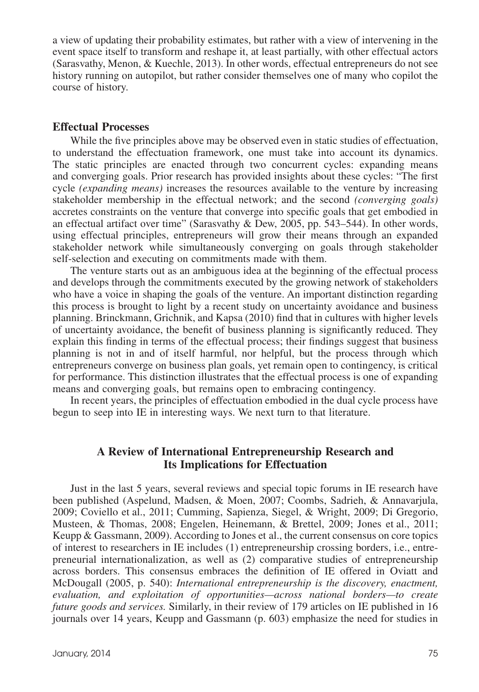a view of updating their probability estimates, but rather with a view of intervening in the event space itself to transform and reshape it, at least partially, with other effectual actors (Sarasvathy, Menon, & Kuechle, 2013). In other words, effectual entrepreneurs do not see history running on autopilot, but rather consider themselves one of many who copilot the course of history.

### **Effectual Processes**

While the five principles above may be observed even in static studies of effectuation, to understand the effectuation framework, one must take into account its dynamics. The static principles are enacted through two concurrent cycles: expanding means and converging goals. Prior research has provided insights about these cycles: "The first cycle *(expanding means)* increases the resources available to the venture by increasing stakeholder membership in the effectual network; and the second *(converging goals)* accretes constraints on the venture that converge into specific goals that get embodied in an effectual artifact over time" (Sarasvathy & Dew, 2005, pp. 543–544). In other words, using effectual principles, entrepreneurs will grow their means through an expanded stakeholder network while simultaneously converging on goals through stakeholder self-selection and executing on commitments made with them.

The venture starts out as an ambiguous idea at the beginning of the effectual process and develops through the commitments executed by the growing network of stakeholders who have a voice in shaping the goals of the venture. An important distinction regarding this process is brought to light by a recent study on uncertainty avoidance and business planning. Brinckmann, Grichnik, and Kapsa (2010) find that in cultures with higher levels of uncertainty avoidance, the benefit of business planning is significantly reduced. They explain this finding in terms of the effectual process; their findings suggest that business planning is not in and of itself harmful, nor helpful, but the process through which entrepreneurs converge on business plan goals, yet remain open to contingency, is critical for performance. This distinction illustrates that the effectual process is one of expanding means and converging goals, but remains open to embracing contingency.

In recent years, the principles of effectuation embodied in the dual cycle process have begun to seep into IE in interesting ways. We next turn to that literature.

## **A Review of International Entrepreneurship Research and Its Implications for Effectuation**

Just in the last 5 years, several reviews and special topic forums in IE research have been published (Aspelund, Madsen, & Moen, 2007; Coombs, Sadrieh, & Annavarjula, 2009; Coviello et al., 2011; Cumming, Sapienza, Siegel, & Wright, 2009; Di Gregorio, Musteen, & Thomas, 2008; Engelen, Heinemann, & Brettel, 2009; Jones et al., 2011; Keupp & Gassmann, 2009). According to Jones et al., the current consensus on core topics of interest to researchers in IE includes (1) entrepreneurship crossing borders, i.e., entrepreneurial internationalization, as well as (2) comparative studies of entrepreneurship across borders. This consensus embraces the definition of IE offered in Oviatt and McDougall (2005, p. 540): *International entrepreneurship is the discovery, enactment, evaluation, and exploitation of opportunities—across national borders—to create future goods and services.* Similarly, in their review of 179 articles on IE published in 16 journals over 14 years, Keupp and Gassmann (p. 603) emphasize the need for studies in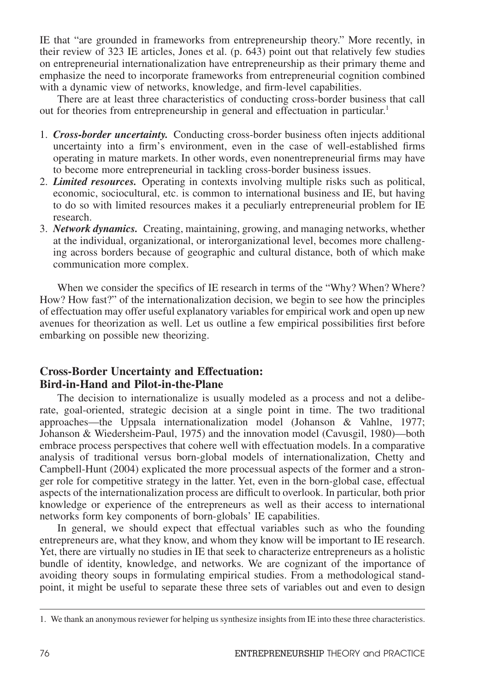IE that "are grounded in frameworks from entrepreneurship theory." More recently, in their review of 323 IE articles, Jones et al. (p. 643) point out that relatively few studies on entrepreneurial internationalization have entrepreneurship as their primary theme and emphasize the need to incorporate frameworks from entrepreneurial cognition combined with a dynamic view of networks, knowledge, and firm-level capabilities.

There are at least three characteristics of conducting cross-border business that call out for theories from entrepreneurship in general and effectuation in particular.<sup>1</sup>

- 1. *Cross-border uncertainty.* Conducting cross-border business often injects additional uncertainty into a firm's environment, even in the case of well-established firms operating in mature markets. In other words, even nonentrepreneurial firms may have to become more entrepreneurial in tackling cross-border business issues.
- 2. *Limited resources.* Operating in contexts involving multiple risks such as political, economic, sociocultural, etc. is common to international business and IE, but having to do so with limited resources makes it a peculiarly entrepreneurial problem for IE research.
- 3. *Network dynamics.* Creating, maintaining, growing, and managing networks, whether at the individual, organizational, or interorganizational level, becomes more challenging across borders because of geographic and cultural distance, both of which make communication more complex.

When we consider the specifics of IE research in terms of the "Why? When? Where? How? How fast?" of the internationalization decision, we begin to see how the principles of effectuation may offer useful explanatory variables for empirical work and open up new avenues for theorization as well. Let us outline a few empirical possibilities first before embarking on possible new theorizing.

# **Cross-Border Uncertainty and Effectuation: Bird-in-Hand and Pilot-in-the-Plane**

The decision to internationalize is usually modeled as a process and not a deliberate, goal-oriented, strategic decision at a single point in time. The two traditional approaches—the Uppsala internationalization model (Johanson & Vahlne, 1977; Johanson & Wiedersheim-Paul, 1975) and the innovation model (Cavusgil, 1980)—both embrace process perspectives that cohere well with effectuation models. In a comparative analysis of traditional versus born-global models of internationalization, Chetty and Campbell-Hunt (2004) explicated the more processual aspects of the former and a stronger role for competitive strategy in the latter. Yet, even in the born-global case, effectual aspects of the internationalization process are difficult to overlook. In particular, both prior knowledge or experience of the entrepreneurs as well as their access to international networks form key components of born-globals' IE capabilities.

In general, we should expect that effectual variables such as who the founding entrepreneurs are, what they know, and whom they know will be important to IE research. Yet, there are virtually no studies in IE that seek to characterize entrepreneurs as a holistic bundle of identity, knowledge, and networks. We are cognizant of the importance of avoiding theory soups in formulating empirical studies. From a methodological standpoint, it might be useful to separate these three sets of variables out and even to design

<sup>1.</sup> We thank an anonymous reviewer for helping us synthesize insights from IE into these three characteristics.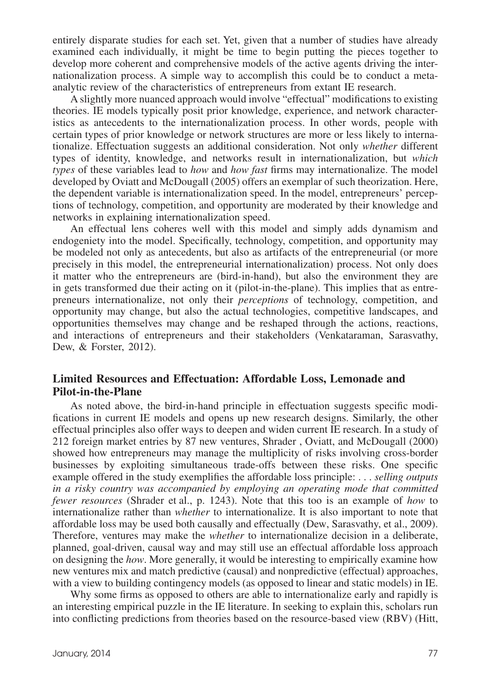entirely disparate studies for each set. Yet, given that a number of studies have already examined each individually, it might be time to begin putting the pieces together to develop more coherent and comprehensive models of the active agents driving the internationalization process. A simple way to accomplish this could be to conduct a metaanalytic review of the characteristics of entrepreneurs from extant IE research.

A slightly more nuanced approach would involve "effectual" modifications to existing theories. IE models typically posit prior knowledge, experience, and network characteristics as antecedents to the internationalization process. In other words, people with certain types of prior knowledge or network structures are more or less likely to internationalize. Effectuation suggests an additional consideration. Not only *whether* different types of identity, knowledge, and networks result in internationalization, but *which types* of these variables lead to *how* and *how fast* firms may internationalize. The model developed by Oviatt and McDougall (2005) offers an exemplar of such theorization. Here, the dependent variable is internationalization speed. In the model, entrepreneurs' perceptions of technology, competition, and opportunity are moderated by their knowledge and networks in explaining internationalization speed.

An effectual lens coheres well with this model and simply adds dynamism and endogeniety into the model. Specifically, technology, competition, and opportunity may be modeled not only as antecedents, but also as artifacts of the entrepreneurial (or more precisely in this model, the entrepreneurial internationalization) process. Not only does it matter who the entrepreneurs are (bird-in-hand), but also the environment they are in gets transformed due their acting on it (pilot-in-the-plane). This implies that as entrepreneurs internationalize, not only their *perceptions* of technology, competition, and opportunity may change, but also the actual technologies, competitive landscapes, and opportunities themselves may change and be reshaped through the actions, reactions, and interactions of entrepreneurs and their stakeholders (Venkataraman, Sarasvathy, Dew, & Forster, 2012).

## **Limited Resources and Effectuation: Affordable Loss, Lemonade and Pilot-in-the-Plane**

As noted above, the bird-in-hand principle in effectuation suggests specific modifications in current IE models and opens up new research designs. Similarly, the other effectual principles also offer ways to deepen and widen current IE research. In a study of 212 foreign market entries by 87 new ventures, Shrader , Oviatt, and McDougall (2000) showed how entrepreneurs may manage the multiplicity of risks involving cross-border businesses by exploiting simultaneous trade-offs between these risks. One specific example offered in the study exemplifies the affordable loss principle: . . . *selling outputs in a risky country was accompanied by employing an operating mode that committed fewer resources* (Shrader et al., p. 1243). Note that this too is an example of *how* to internationalize rather than *whether* to internationalize. It is also important to note that affordable loss may be used both causally and effectually (Dew, Sarasvathy, et al., 2009). Therefore, ventures may make the *whether* to internationalize decision in a deliberate, planned, goal-driven, causal way and may still use an effectual affordable loss approach on designing the *how*. More generally, it would be interesting to empirically examine how new ventures mix and match predictive (causal) and nonpredictive (effectual) approaches, with a view to building contingency models (as opposed to linear and static models) in IE.

Why some firms as opposed to others are able to internationalize early and rapidly is an interesting empirical puzzle in the IE literature. In seeking to explain this, scholars run into conflicting predictions from theories based on the resource-based view (RBV) (Hitt,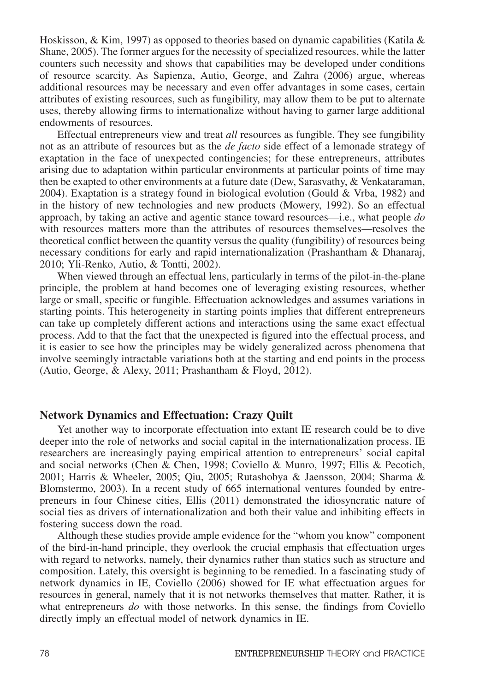Hoskisson, & Kim, 1997) as opposed to theories based on dynamic capabilities (Katila  $\&$ Shane, 2005). The former argues for the necessity of specialized resources, while the latter counters such necessity and shows that capabilities may be developed under conditions of resource scarcity. As Sapienza, Autio, George, and Zahra (2006) argue, whereas additional resources may be necessary and even offer advantages in some cases, certain attributes of existing resources, such as fungibility, may allow them to be put to alternate uses, thereby allowing firms to internationalize without having to garner large additional endowments of resources.

Effectual entrepreneurs view and treat *all* resources as fungible. They see fungibility not as an attribute of resources but as the *de facto* side effect of a lemonade strategy of exaptation in the face of unexpected contingencies; for these entrepreneurs, attributes arising due to adaptation within particular environments at particular points of time may then be exapted to other environments at a future date (Dew, Sarasvathy, & Venkataraman, 2004). Exaptation is a strategy found in biological evolution (Gould & Vrba, 1982) and in the history of new technologies and new products (Mowery, 1992). So an effectual approach, by taking an active and agentic stance toward resources—i.e., what people *do* with resources matters more than the attributes of resources themselves—resolves the theoretical conflict between the quantity versus the quality (fungibility) of resources being necessary conditions for early and rapid internationalization (Prashantham & Dhanaraj, 2010; Yli-Renko, Autio, & Tontti, 2002).

When viewed through an effectual lens, particularly in terms of the pilot-in-the-plane principle, the problem at hand becomes one of leveraging existing resources, whether large or small, specific or fungible. Effectuation acknowledges and assumes variations in starting points. This heterogeneity in starting points implies that different entrepreneurs can take up completely different actions and interactions using the same exact effectual process. Add to that the fact that the unexpected is figured into the effectual process, and it is easier to see how the principles may be widely generalized across phenomena that involve seemingly intractable variations both at the starting and end points in the process (Autio, George, & Alexy, 2011; Prashantham & Floyd, 2012).

## **Network Dynamics and Effectuation: Crazy Quilt**

Yet another way to incorporate effectuation into extant IE research could be to dive deeper into the role of networks and social capital in the internationalization process. IE researchers are increasingly paying empirical attention to entrepreneurs' social capital and social networks (Chen & Chen, 1998; Coviello & Munro, 1997; Ellis & Pecotich, 2001; Harris & Wheeler, 2005; Qiu, 2005; Rutashobya & Jaensson, 2004; Sharma & Blomstermo, 2003). In a recent study of 665 international ventures founded by entrepreneurs in four Chinese cities, Ellis (2011) demonstrated the idiosyncratic nature of social ties as drivers of internationalization and both their value and inhibiting effects in fostering success down the road.

Although these studies provide ample evidence for the "whom you know" component of the bird-in-hand principle, they overlook the crucial emphasis that effectuation urges with regard to networks, namely, their dynamics rather than statics such as structure and composition. Lately, this oversight is beginning to be remedied. In a fascinating study of network dynamics in IE, Coviello (2006) showed for IE what effectuation argues for resources in general, namely that it is not networks themselves that matter. Rather, it is what entrepreneurs *do* with those networks. In this sense, the findings from Coviello directly imply an effectual model of network dynamics in IE.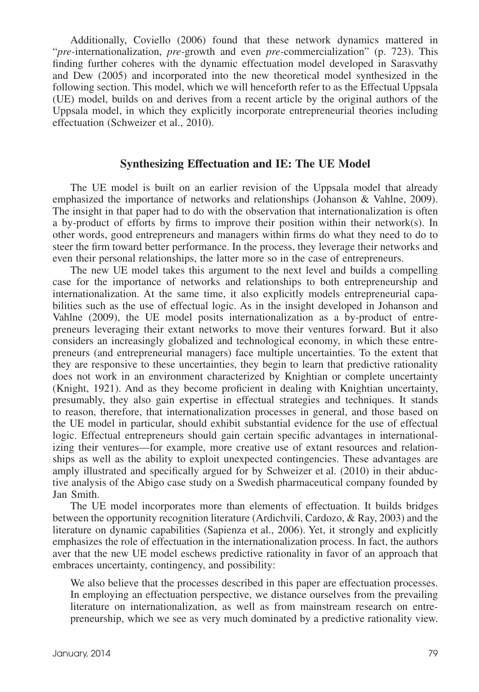Additionally, Coviello (2006) found that these network dynamics mattered in "*pre-*internationalization, *pre-*growth and even *pre-*commercialization" (p. 723). This finding further coheres with the dynamic effectuation model developed in Sarasvathy and Dew (2005) and incorporated into the new theoretical model synthesized in the following section. This model, which we will henceforth refer to as the Effectual Uppsala (UE) model, builds on and derives from a recent article by the original authors of the Uppsala model, in which they explicitly incorporate entrepreneurial theories including effectuation (Schweizer et al., 2010).

### **Synthesizing Effectuation and IE: The UE Model**

The UE model is built on an earlier revision of the Uppsala model that already emphasized the importance of networks and relationships (Johanson & Vahlne, 2009). The insight in that paper had to do with the observation that internationalization is often a by-product of efforts by firms to improve their position within their network(s). In other words, good entrepreneurs and managers within firms do what they need to do to steer the firm toward better performance. In the process, they leverage their networks and even their personal relationships, the latter more so in the case of entrepreneurs.

The new UE model takes this argument to the next level and builds a compelling case for the importance of networks and relationships to both entrepreneurship and internationalization. At the same time, it also explicitly models entrepreneurial capabilities such as the use of effectual logic. As in the insight developed in Johanson and Vahlne (2009), the UE model posits internationalization as a by-product of entrepreneurs leveraging their extant networks to move their ventures forward. But it also considers an increasingly globalized and technological economy, in which these entrepreneurs (and entrepreneurial managers) face multiple uncertainties. To the extent that they are responsive to these uncertainties, they begin to learn that predictive rationality does not work in an environment characterized by Knightian or complete uncertainty (Knight, 1921). And as they become proficient in dealing with Knightian uncertainty, presumably, they also gain expertise in effectual strategies and techniques. It stands to reason, therefore, that internationalization processes in general, and those based on the UE model in particular, should exhibit substantial evidence for the use of effectual logic. Effectual entrepreneurs should gain certain specific advantages in internationalizing their ventures—for example, more creative use of extant resources and relationships as well as the ability to exploit unexpected contingencies. These advantages are amply illustrated and specifically argued for by Schweizer et al. (2010) in their abductive analysis of the Abigo case study on a Swedish pharmaceutical company founded by Jan Smith.

The UE model incorporates more than elements of effectuation. It builds bridges between the opportunity recognition literature (Ardichvili, Cardozo, & Ray, 2003) and the literature on dynamic capabilities (Sapienza et al., 2006). Yet, it strongly and explicitly emphasizes the role of effectuation in the internationalization process. In fact, the authors aver that the new UE model eschews predictive rationality in favor of an approach that embraces uncertainty, contingency, and possibility:

We also believe that the processes described in this paper are effectuation processes. In employing an effectuation perspective, we distance ourselves from the prevailing literature on internationalization, as well as from mainstream research on entrepreneurship, which we see as very much dominated by a predictive rationality view.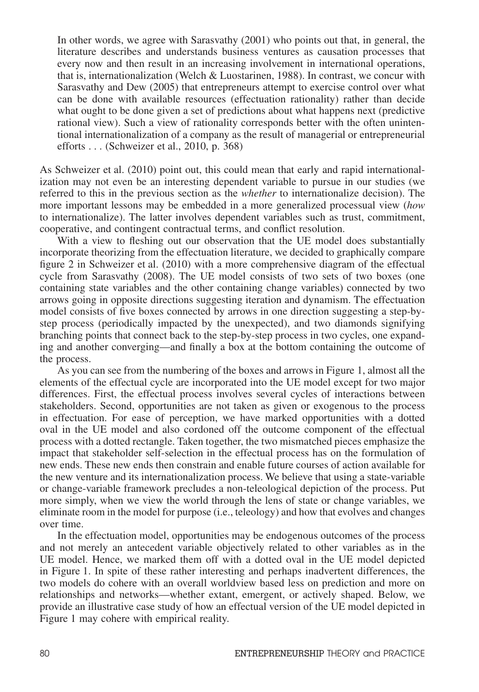In other words, we agree with Sarasvathy (2001) who points out that, in general, the literature describes and understands business ventures as causation processes that every now and then result in an increasing involvement in international operations, that is, internationalization (Welch & Luostarinen, 1988). In contrast, we concur with Sarasvathy and Dew (2005) that entrepreneurs attempt to exercise control over what can be done with available resources (effectuation rationality) rather than decide what ought to be done given a set of predictions about what happens next (predictive rational view). Such a view of rationality corresponds better with the often unintentional internationalization of a company as the result of managerial or entrepreneurial efforts . . . (Schweizer et al., 2010, p. 368)

As Schweizer et al. (2010) point out, this could mean that early and rapid internationalization may not even be an interesting dependent variable to pursue in our studies (we referred to this in the previous section as the *whether* to internationalize decision). The more important lessons may be embedded in a more generalized processual view (*how* to internationalize). The latter involves dependent variables such as trust, commitment, cooperative, and contingent contractual terms, and conflict resolution.

With a view to fleshing out our observation that the UE model does substantially incorporate theorizing from the effectuation literature, we decided to graphically compare figure 2 in Schweizer et al. (2010) with a more comprehensive diagram of the effectual cycle from Sarasvathy (2008). The UE model consists of two sets of two boxes (one containing state variables and the other containing change variables) connected by two arrows going in opposite directions suggesting iteration and dynamism. The effectuation model consists of five boxes connected by arrows in one direction suggesting a step-bystep process (periodically impacted by the unexpected), and two diamonds signifying branching points that connect back to the step-by-step process in two cycles, one expanding and another converging—and finally a box at the bottom containing the outcome of the process.

As you can see from the numbering of the boxes and arrows in Figure 1, almost all the elements of the effectual cycle are incorporated into the UE model except for two major differences. First, the effectual process involves several cycles of interactions between stakeholders. Second, opportunities are not taken as given or exogenous to the process in effectuation. For ease of perception, we have marked opportunities with a dotted oval in the UE model and also cordoned off the outcome component of the effectual process with a dotted rectangle. Taken together, the two mismatched pieces emphasize the impact that stakeholder self-selection in the effectual process has on the formulation of new ends. These new ends then constrain and enable future courses of action available for the new venture and its internationalization process. We believe that using a state-variable or change-variable framework precludes a non-teleological depiction of the process. Put more simply, when we view the world through the lens of state or change variables, we eliminate room in the model for purpose (i.e., teleology) and how that evolves and changes over time.

In the effectuation model, opportunities may be endogenous outcomes of the process and not merely an antecedent variable objectively related to other variables as in the UE model. Hence, we marked them off with a dotted oval in the UE model depicted in Figure 1. In spite of these rather interesting and perhaps inadvertent differences, the two models do cohere with an overall worldview based less on prediction and more on relationships and networks—whether extant, emergent, or actively shaped. Below, we provide an illustrative case study of how an effectual version of the UE model depicted in Figure 1 may cohere with empirical reality.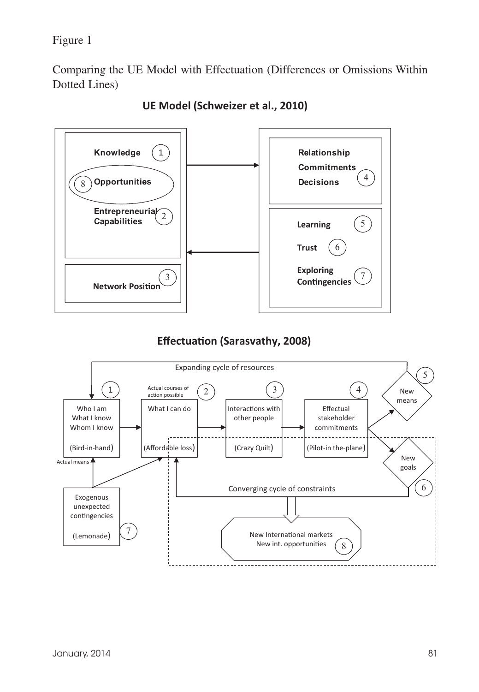Figure 1

Comparing the UE Model with Effectuation (Differences or Omissions Within Dotted Lines)



**UE Model (Schweizer et al., 2010)**

# **EffectuaƟon (Sarasvathy, 2008)**

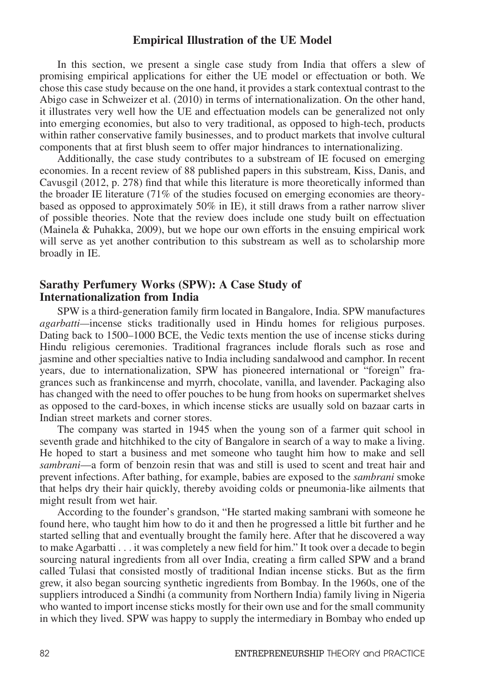#### **Empirical Illustration of the UE Model**

In this section, we present a single case study from India that offers a slew of promising empirical applications for either the UE model or effectuation or both. We chose this case study because on the one hand, it provides a stark contextual contrast to the Abigo case in Schweizer et al. (2010) in terms of internationalization. On the other hand, it illustrates very well how the UE and effectuation models can be generalized not only into emerging economies, but also to very traditional, as opposed to high-tech, products within rather conservative family businesses, and to product markets that involve cultural components that at first blush seem to offer major hindrances to internationalizing.

Additionally, the case study contributes to a substream of IE focused on emerging economies. In a recent review of 88 published papers in this substream, Kiss, Danis, and Cavusgil (2012, p. 278) find that while this literature is more theoretically informed than the broader IE literature (71% of the studies focused on emerging economies are theorybased as opposed to approximately 50% in IE), it still draws from a rather narrow sliver of possible theories. Note that the review does include one study built on effectuation (Mainela & Puhakka, 2009), but we hope our own efforts in the ensuing empirical work will serve as yet another contribution to this substream as well as to scholarship more broadly in IE.

## **Sarathy Perfumery Works (SPW): A Case Study of Internationalization from India**

SPW is a third-generation family firm located in Bangalore, India. SPW manufactures *agarbatti—*incense sticks traditionally used in Hindu homes for religious purposes. Dating back to 1500–1000 BCE, the Vedic texts mention the use of incense sticks during Hindu religious ceremonies. Traditional fragrances include florals such as rose and jasmine and other specialties native to India including sandalwood and camphor. In recent years, due to internationalization, SPW has pioneered international or "foreign" fragrances such as frankincense and myrrh, chocolate, vanilla, and lavender. Packaging also has changed with the need to offer pouches to be hung from hooks on supermarket shelves as opposed to the card-boxes, in which incense sticks are usually sold on bazaar carts in Indian street markets and corner stores.

The company was started in 1945 when the young son of a farmer quit school in seventh grade and hitchhiked to the city of Bangalore in search of a way to make a living. He hoped to start a business and met someone who taught him how to make and sell *sambrani*—a form of benzoin resin that was and still is used to scent and treat hair and prevent infections. After bathing, for example, babies are exposed to the *sambrani* smoke that helps dry their hair quickly, thereby avoiding colds or pneumonia-like ailments that might result from wet hair.

According to the founder's grandson, "He started making sambrani with someone he found here, who taught him how to do it and then he progressed a little bit further and he started selling that and eventually brought the family here. After that he discovered a way to make Agarbatti . . . it was completely a new field for him." It took over a decade to begin sourcing natural ingredients from all over India, creating a firm called SPW and a brand called Tulasi that consisted mostly of traditional Indian incense sticks. But as the firm grew, it also began sourcing synthetic ingredients from Bombay. In the 1960s, one of the suppliers introduced a Sindhi (a community from Northern India) family living in Nigeria who wanted to import incense sticks mostly for their own use and for the small community in which they lived. SPW was happy to supply the intermediary in Bombay who ended up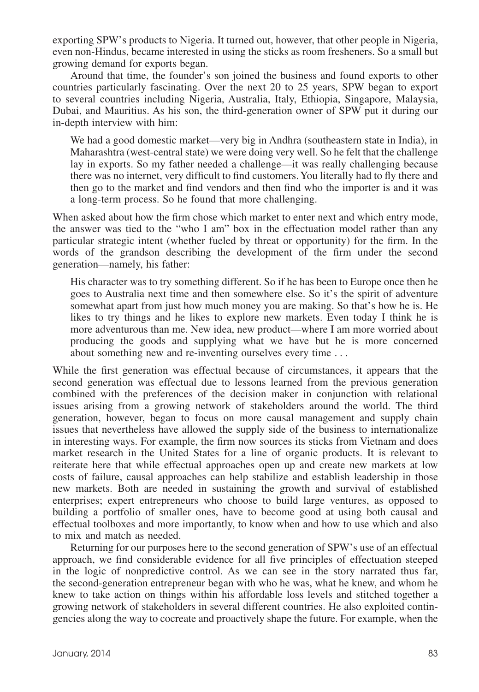exporting SPW's products to Nigeria. It turned out, however, that other people in Nigeria, even non-Hindus, became interested in using the sticks as room fresheners. So a small but growing demand for exports began.

Around that time, the founder's son joined the business and found exports to other countries particularly fascinating. Over the next 20 to 25 years, SPW began to export to several countries including Nigeria, Australia, Italy, Ethiopia, Singapore, Malaysia, Dubai, and Mauritius. As his son, the third-generation owner of SPW put it during our in-depth interview with him:

We had a good domestic market—very big in Andhra (southeastern state in India), in Maharashtra (west-central state) we were doing very well. So he felt that the challenge lay in exports. So my father needed a challenge—it was really challenging because there was no internet, very difficult to find customers. You literally had to fly there and then go to the market and find vendors and then find who the importer is and it was a long-term process. So he found that more challenging.

When asked about how the firm chose which market to enter next and which entry mode, the answer was tied to the "who I am" box in the effectuation model rather than any particular strategic intent (whether fueled by threat or opportunity) for the firm. In the words of the grandson describing the development of the firm under the second generation—namely, his father:

His character was to try something different. So if he has been to Europe once then he goes to Australia next time and then somewhere else. So it's the spirit of adventure somewhat apart from just how much money you are making. So that's how he is. He likes to try things and he likes to explore new markets. Even today I think he is more adventurous than me. New idea, new product—where I am more worried about producing the goods and supplying what we have but he is more concerned about something new and re-inventing ourselves every time . . .

While the first generation was effectual because of circumstances, it appears that the second generation was effectual due to lessons learned from the previous generation combined with the preferences of the decision maker in conjunction with relational issues arising from a growing network of stakeholders around the world. The third generation, however, began to focus on more causal management and supply chain issues that nevertheless have allowed the supply side of the business to internationalize in interesting ways. For example, the firm now sources its sticks from Vietnam and does market research in the United States for a line of organic products. It is relevant to reiterate here that while effectual approaches open up and create new markets at low costs of failure, causal approaches can help stabilize and establish leadership in those new markets. Both are needed in sustaining the growth and survival of established enterprises; expert entrepreneurs who choose to build large ventures, as opposed to building a portfolio of smaller ones, have to become good at using both causal and effectual toolboxes and more importantly, to know when and how to use which and also to mix and match as needed.

Returning for our purposes here to the second generation of SPW's use of an effectual approach, we find considerable evidence for all five principles of effectuation steeped in the logic of nonpredictive control. As we can see in the story narrated thus far, the second-generation entrepreneur began with who he was, what he knew, and whom he knew to take action on things within his affordable loss levels and stitched together a growing network of stakeholders in several different countries. He also exploited contingencies along the way to cocreate and proactively shape the future. For example, when the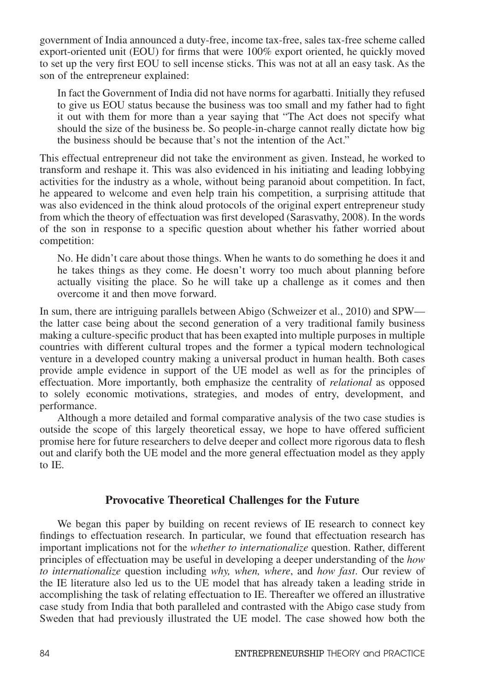government of India announced a duty-free, income tax-free, sales tax-free scheme called export-oriented unit (EOU) for firms that were 100% export oriented, he quickly moved to set up the very first EOU to sell incense sticks. This was not at all an easy task. As the son of the entrepreneur explained:

In fact the Government of India did not have norms for agarbatti. Initially they refused to give us EOU status because the business was too small and my father had to fight it out with them for more than a year saying that "The Act does not specify what should the size of the business be. So people-in-charge cannot really dictate how big the business should be because that's not the intention of the Act."

This effectual entrepreneur did not take the environment as given. Instead, he worked to transform and reshape it. This was also evidenced in his initiating and leading lobbying activities for the industry as a whole, without being paranoid about competition. In fact, he appeared to welcome and even help train his competition, a surprising attitude that was also evidenced in the think aloud protocols of the original expert entrepreneur study from which the theory of effectuation was first developed (Sarasvathy, 2008). In the words of the son in response to a specific question about whether his father worried about competition:

No. He didn't care about those things. When he wants to do something he does it and he takes things as they come. He doesn't worry too much about planning before actually visiting the place. So he will take up a challenge as it comes and then overcome it and then move forward.

In sum, there are intriguing parallels between Abigo (Schweizer et al., 2010) and SPW the latter case being about the second generation of a very traditional family business making a culture-specific product that has been exapted into multiple purposes in multiple countries with different cultural tropes and the former a typical modern technological venture in a developed country making a universal product in human health. Both cases provide ample evidence in support of the UE model as well as for the principles of effectuation. More importantly, both emphasize the centrality of *relational* as opposed to solely economic motivations, strategies, and modes of entry, development, and performance.

Although a more detailed and formal comparative analysis of the two case studies is outside the scope of this largely theoretical essay, we hope to have offered sufficient promise here for future researchers to delve deeper and collect more rigorous data to flesh out and clarify both the UE model and the more general effectuation model as they apply to IE.

## **Provocative Theoretical Challenges for the Future**

We began this paper by building on recent reviews of IE research to connect key findings to effectuation research. In particular, we found that effectuation research has important implications not for the *whether to internationalize* question. Rather, different principles of effectuation may be useful in developing a deeper understanding of the *how to internationalize* question including *why, when, where*, and *how fast*. Our review of the IE literature also led us to the UE model that has already taken a leading stride in accomplishing the task of relating effectuation to IE. Thereafter we offered an illustrative case study from India that both paralleled and contrasted with the Abigo case study from Sweden that had previously illustrated the UE model. The case showed how both the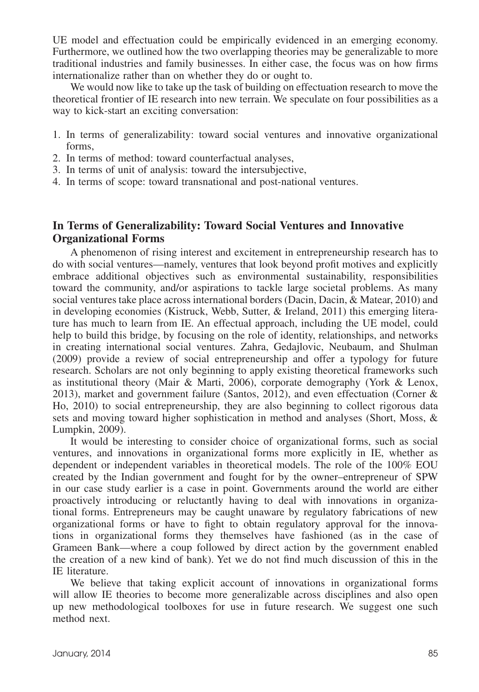UE model and effectuation could be empirically evidenced in an emerging economy. Furthermore, we outlined how the two overlapping theories may be generalizable to more traditional industries and family businesses. In either case, the focus was on how firms internationalize rather than on whether they do or ought to.

We would now like to take up the task of building on effectuation research to move the theoretical frontier of IE research into new terrain. We speculate on four possibilities as a way to kick-start an exciting conversation:

- 1. In terms of generalizability: toward social ventures and innovative organizational forms,
- 2. In terms of method: toward counterfactual analyses,
- 3. In terms of unit of analysis: toward the intersubjective,
- 4. In terms of scope: toward transnational and post-national ventures.

# **In Terms of Generalizability: Toward Social Ventures and Innovative Organizational Forms**

A phenomenon of rising interest and excitement in entrepreneurship research has to do with social ventures—namely, ventures that look beyond profit motives and explicitly embrace additional objectives such as environmental sustainability, responsibilities toward the community, and/or aspirations to tackle large societal problems. As many social ventures take place across international borders (Dacin, Dacin, & Matear, 2010) and in developing economies (Kistruck, Webb, Sutter, & Ireland, 2011) this emerging literature has much to learn from IE. An effectual approach, including the UE model, could help to build this bridge, by focusing on the role of identity, relationships, and networks in creating international social ventures. Zahra, Gedajlovic, Neubaum, and Shulman (2009) provide a review of social entrepreneurship and offer a typology for future research. Scholars are not only beginning to apply existing theoretical frameworks such as institutional theory (Mair & Marti, 2006), corporate demography (York & Lenox, 2013), market and government failure (Santos, 2012), and even effectuation (Corner & Ho, 2010) to social entrepreneurship, they are also beginning to collect rigorous data sets and moving toward higher sophistication in method and analyses (Short, Moss, & Lumpkin, 2009).

It would be interesting to consider choice of organizational forms, such as social ventures, and innovations in organizational forms more explicitly in IE, whether as dependent or independent variables in theoretical models. The role of the 100% EOU created by the Indian government and fought for by the owner–entrepreneur of SPW in our case study earlier is a case in point. Governments around the world are either proactively introducing or reluctantly having to deal with innovations in organizational forms. Entrepreneurs may be caught unaware by regulatory fabrications of new organizational forms or have to fight to obtain regulatory approval for the innovations in organizational forms they themselves have fashioned (as in the case of Grameen Bank—where a coup followed by direct action by the government enabled the creation of a new kind of bank). Yet we do not find much discussion of this in the IE literature.

We believe that taking explicit account of innovations in organizational forms will allow IE theories to become more generalizable across disciplines and also open up new methodological toolboxes for use in future research. We suggest one such method next.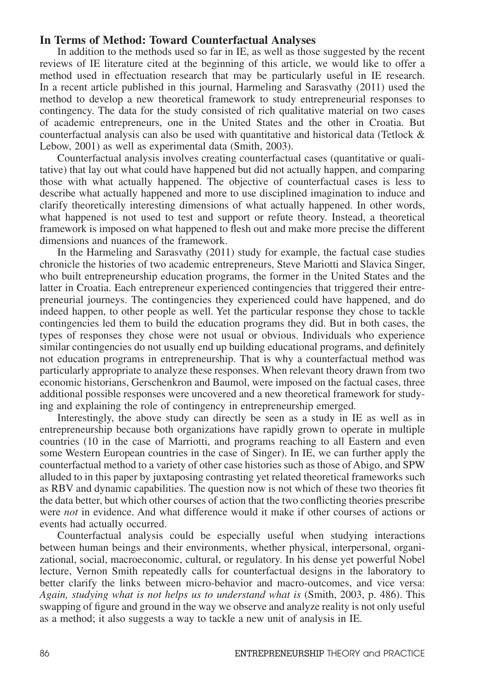## **In Terms of Method: Toward Counterfactual Analyses**

In addition to the methods used so far in IE, as well as those suggested by the recent reviews of IE literature cited at the beginning of this article, we would like to offer a method used in effectuation research that may be particularly useful in IE research. In a recent article published in this journal, Harmeling and Sarasvathy (2011) used the method to develop a new theoretical framework to study entrepreneurial responses to contingency. The data for the study consisted of rich qualitative material on two cases of academic entrepreneurs, one in the United States and the other in Croatia. But counterfactual analysis can also be used with quantitative and historical data (Tetlock & Lebow, 2001) as well as experimental data (Smith, 2003).

Counterfactual analysis involves creating counterfactual cases (quantitative or qualitative) that lay out what could have happened but did not actually happen, and comparing those with what actually happened. The objective of counterfactual cases is less to describe what actually happened and more to use disciplined imagination to induce and clarify theoretically interesting dimensions of what actually happened. In other words, what happened is not used to test and support or refute theory. Instead, a theoretical framework is imposed on what happened to flesh out and make more precise the different dimensions and nuances of the framework.

In the Harmeling and Sarasvathy (2011) study for example, the factual case studies chronicle the histories of two academic entrepreneurs, Steve Mariotti and Slavica Singer, who built entrepreneurship education programs, the former in the United States and the latter in Croatia. Each entrepreneur experienced contingencies that triggered their entrepreneurial journeys. The contingencies they experienced could have happened, and do indeed happen, to other people as well. Yet the particular response they chose to tackle contingencies led them to build the education programs they did. But in both cases, the types of responses they chose were not usual or obvious. Individuals who experience similar contingencies do not usually end up building educational programs, and definitely not education programs in entrepreneurship. That is why a counterfactual method was particularly appropriate to analyze these responses. When relevant theory drawn from two economic historians, Gerschenkron and Baumol, were imposed on the factual cases, three additional possible responses were uncovered and a new theoretical framework for studying and explaining the role of contingency in entrepreneurship emerged.

Interestingly, the above study can directly be seen as a study in IE as well as in entrepreneurship because both organizations have rapidly grown to operate in multiple countries (10 in the case of Marriotti, and programs reaching to all Eastern and even some Western European countries in the case of Singer). In IE, we can further apply the counterfactual method to a variety of other case histories such as those of Abigo, and SPW alluded to in this paper by juxtaposing contrasting yet related theoretical frameworks such as RBV and dynamic capabilities. The question now is not which of these two theories fit the data better, but which other courses of action that the two conflicting theories prescribe were *not* in evidence. And what difference would it make if other courses of actions or events had actually occurred.

Counterfactual analysis could be especially useful when studying interactions between human beings and their environments, whether physical, interpersonal, organizational, social, macroeconomic, cultural, or regulatory. In his dense yet powerful Nobel lecture, Vernon Smith repeatedly calls for counterfactual designs in the laboratory to better clarify the links between micro-behavior and macro-outcomes, and vice versa: *Again, studying what is not helps us to understand what is* (Smith, 2003, p. 486). This swapping of figure and ground in the way we observe and analyze reality is not only useful as a method; it also suggests a way to tackle a new unit of analysis in IE.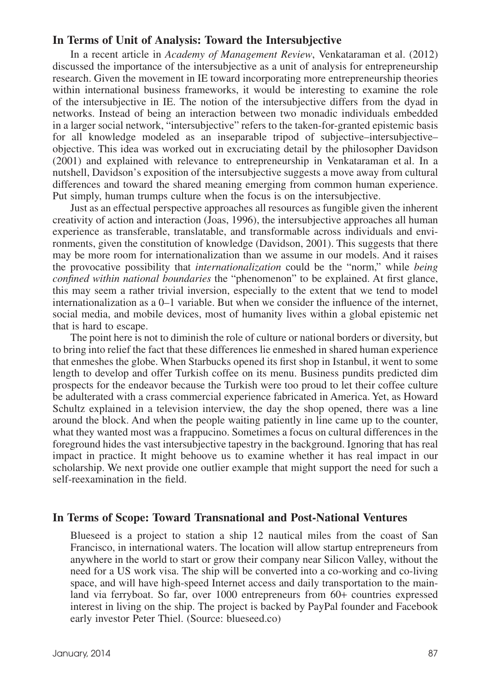## **In Terms of Unit of Analysis: Toward the Intersubjective**

In a recent article in *Academy of Management Review*, Venkataraman et al. (2012) discussed the importance of the intersubjective as a unit of analysis for entrepreneurship research. Given the movement in IE toward incorporating more entrepreneurship theories within international business frameworks, it would be interesting to examine the role of the intersubjective in IE. The notion of the intersubjective differs from the dyad in networks. Instead of being an interaction between two monadic individuals embedded in a larger social network, "intersubjective" refers to the taken-for-granted epistemic basis for all knowledge modeled as an inseparable tripod of subjective–intersubjective– objective. This idea was worked out in excruciating detail by the philosopher Davidson (2001) and explained with relevance to entrepreneurship in Venkataraman et al. In a nutshell, Davidson's exposition of the intersubjective suggests a move away from cultural differences and toward the shared meaning emerging from common human experience. Put simply, human trumps culture when the focus is on the intersubjective.

Just as an effectual perspective approaches all resources as fungible given the inherent creativity of action and interaction (Joas, 1996), the intersubjective approaches all human experience as transferable, translatable, and transformable across individuals and environments, given the constitution of knowledge (Davidson, 2001). This suggests that there may be more room for internationalization than we assume in our models. And it raises the provocative possibility that *internationalization* could be the "norm," while *being confined within national boundaries* the "phenomenon" to be explained. At first glance, this may seem a rather trivial inversion, especially to the extent that we tend to model internationalization as a 0–1 variable. But when we consider the influence of the internet, social media, and mobile devices, most of humanity lives within a global epistemic net that is hard to escape.

The point here is not to diminish the role of culture or national borders or diversity, but to bring into relief the fact that these differences lie enmeshed in shared human experience that enmeshes the globe. When Starbucks opened its first shop in Istanbul, it went to some length to develop and offer Turkish coffee on its menu. Business pundits predicted dim prospects for the endeavor because the Turkish were too proud to let their coffee culture be adulterated with a crass commercial experience fabricated in America. Yet, as Howard Schultz explained in a television interview, the day the shop opened, there was a line around the block. And when the people waiting patiently in line came up to the counter, what they wanted most was a frappucino. Sometimes a focus on cultural differences in the foreground hides the vast intersubjective tapestry in the background. Ignoring that has real impact in practice. It might behoove us to examine whether it has real impact in our scholarship. We next provide one outlier example that might support the need for such a self-reexamination in the field.

## **In Terms of Scope: Toward Transnational and Post-National Ventures**

Blueseed is a project to station a ship 12 nautical miles from the coast of San Francisco, in international waters. The location will allow startup entrepreneurs from anywhere in the world to start or grow their company near Silicon Valley, without the need for a US work visa. The ship will be converted into a co-working and co-living space, and will have high-speed Internet access and daily transportation to the mainland via ferryboat. So far, over 1000 entrepreneurs from 60+ countries expressed interest in living on the ship. The project is backed by PayPal founder and Facebook early investor Peter Thiel. (Source: blueseed.co)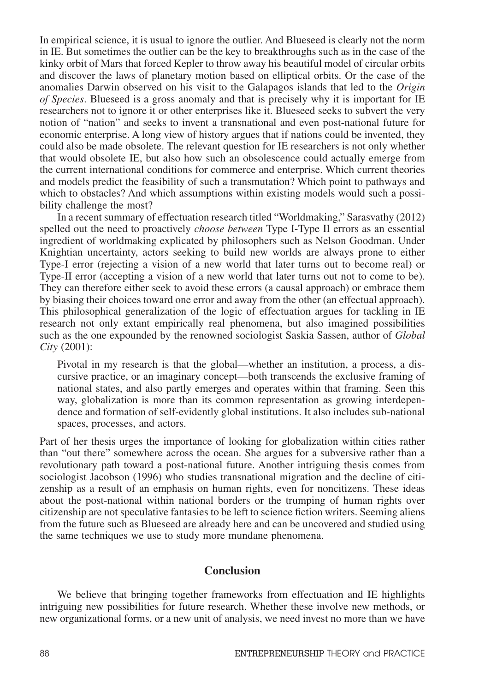In empirical science, it is usual to ignore the outlier. And Blueseed is clearly not the norm in IE. But sometimes the outlier can be the key to breakthroughs such as in the case of the kinky orbit of Mars that forced Kepler to throw away his beautiful model of circular orbits and discover the laws of planetary motion based on elliptical orbits. Or the case of the anomalies Darwin observed on his visit to the Galapagos islands that led to the *Origin of Species*. Blueseed is a gross anomaly and that is precisely why it is important for IE researchers not to ignore it or other enterprises like it. Blueseed seeks to subvert the very notion of "nation" and seeks to invent a transnational and even post-national future for economic enterprise. A long view of history argues that if nations could be invented, they could also be made obsolete. The relevant question for IE researchers is not only whether that would obsolete IE, but also how such an obsolescence could actually emerge from the current international conditions for commerce and enterprise. Which current theories and models predict the feasibility of such a transmutation? Which point to pathways and which to obstacles? And which assumptions within existing models would such a possibility challenge the most?

In a recent summary of effectuation research titled "Worldmaking," Sarasvathy (2012) spelled out the need to proactively *choose between* Type I-Type II errors as an essential ingredient of worldmaking explicated by philosophers such as Nelson Goodman. Under Knightian uncertainty, actors seeking to build new worlds are always prone to either Type-I error (rejecting a vision of a new world that later turns out to become real) or Type-II error (accepting a vision of a new world that later turns out not to come to be). They can therefore either seek to avoid these errors (a causal approach) or embrace them by biasing their choices toward one error and away from the other (an effectual approach). This philosophical generalization of the logic of effectuation argues for tackling in IE research not only extant empirically real phenomena, but also imagined possibilities such as the one expounded by the renowned sociologist Saskia Sassen, author of *Global City* (2001):

Pivotal in my research is that the global—whether an institution, a process, a discursive practice, or an imaginary concept—both transcends the exclusive framing of national states, and also partly emerges and operates within that framing. Seen this way, globalization is more than its common representation as growing interdependence and formation of self-evidently global institutions. It also includes sub-national spaces, processes, and actors.

Part of her thesis urges the importance of looking for globalization within cities rather than "out there" somewhere across the ocean. She argues for a subversive rather than a revolutionary path toward a post-national future. Another intriguing thesis comes from sociologist Jacobson (1996) who studies transnational migration and the decline of citizenship as a result of an emphasis on human rights, even for noncitizens. These ideas about the post-national within national borders or the trumping of human rights over citizenship are not speculative fantasies to be left to science fiction writers. Seeming aliens from the future such as Blueseed are already here and can be uncovered and studied using the same techniques we use to study more mundane phenomena.

# **Conclusion**

We believe that bringing together frameworks from effectuation and IE highlights intriguing new possibilities for future research. Whether these involve new methods, or new organizational forms, or a new unit of analysis, we need invest no more than we have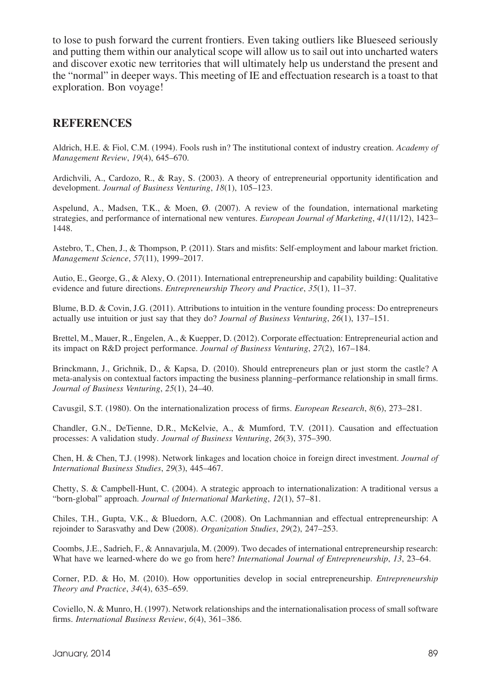to lose to push forward the current frontiers. Even taking outliers like Blueseed seriously and putting them within our analytical scope will allow us to sail out into uncharted waters and discover exotic new territories that will ultimately help us understand the present and the "normal" in deeper ways. This meeting of IE and effectuation research is a toast to that exploration. Bon voyage!

# **REFERENCES**

Aldrich, H.E. & Fiol, C.M. (1994). Fools rush in? The institutional context of industry creation. *Academy of Management Review*, *19*(4), 645–670.

Ardichvili, A., Cardozo, R., & Ray, S. (2003). A theory of entrepreneurial opportunity identification and development. *Journal of Business Venturing*, *18*(1), 105–123.

Aspelund, A., Madsen, T.K., & Moen, Ø. (2007). A review of the foundation, international marketing strategies, and performance of international new ventures. *European Journal of Marketing*, *41*(11/12), 1423– 1448.

Astebro, T., Chen, J., & Thompson, P. (2011). Stars and misfits: Self-employment and labour market friction. *Management Science*, *57*(11), 1999–2017.

Autio, E., George, G., & Alexy, O. (2011). International entrepreneurship and capability building: Qualitative evidence and future directions. *Entrepreneurship Theory and Practice*, *35*(1), 11–37.

Blume, B.D. & Covin, J.G. (2011). Attributions to intuition in the venture founding process: Do entrepreneurs actually use intuition or just say that they do? *Journal of Business Venturing*, *26*(1), 137–151.

Brettel, M., Mauer, R., Engelen, A., & Kuepper, D. (2012). Corporate effectuation: Entrepreneurial action and its impact on R&D project performance. *Journal of Business Venturing*, *27*(2), 167–184.

Brinckmann, J., Grichnik, D., & Kapsa, D. (2010). Should entrepreneurs plan or just storm the castle? A meta-analysis on contextual factors impacting the business planning–performance relationship in small firms. *Journal of Business Venturing*, *25*(1), 24–40.

Cavusgil, S.T. (1980). On the internationalization process of firms. *European Research*, *8*(6), 273–281.

Chandler, G.N., DeTienne, D.R., McKelvie, A., & Mumford, T.V. (2011). Causation and effectuation processes: A validation study. *Journal of Business Venturing*, *26*(3), 375–390.

Chen, H. & Chen, T.J. (1998). Network linkages and location choice in foreign direct investment. *Journal of International Business Studies*, *29*(3), 445–467.

Chetty, S. & Campbell-Hunt, C. (2004). A strategic approach to internationalization: A traditional versus a "born-global" approach. *Journal of International Marketing*, *12*(1), 57–81.

Chiles, T.H., Gupta, V.K., & Bluedorn, A.C. (2008). On Lachmannian and effectual entrepreneurship: A rejoinder to Sarasvathy and Dew (2008). *Organization Studies*, *29*(2), 247–253.

Coombs, J.E., Sadrieh, F., & Annavarjula, M. (2009). Two decades of international entrepreneurship research: What have we learned-where do we go from here? *International Journal of Entrepreneurship*, *13*, 23–64.

Corner, P.D. & Ho, M. (2010). How opportunities develop in social entrepreneurship. *Entrepreneurship Theory and Practice*, *34*(4), 635–659.

Coviello, N. & Munro, H. (1997). Network relationships and the internationalisation process of small software firms. *International Business Review*, *6*(4), 361–386.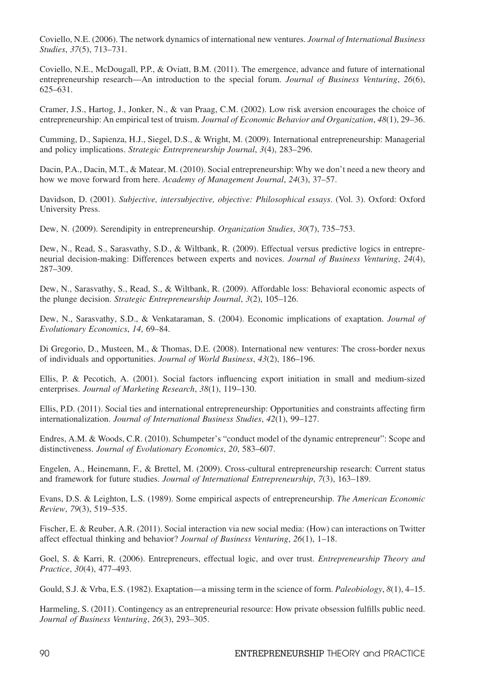Coviello, N.E. (2006). The network dynamics of international new ventures. *Journal of International Business Studies*, *37*(5), 713–731.

Coviello, N.E., McDougall, P.P., & Oviatt, B.M. (2011). The emergence, advance and future of international entrepreneurship research—An introduction to the special forum. *Journal of Business Venturing*, *26*(6), 625–631.

Cramer, J.S., Hartog, J., Jonker, N., & van Praag, C.M. (2002). Low risk aversion encourages the choice of entrepreneurship: An empirical test of truism. *Journal of Economic Behavior and Organization*, *48*(1), 29–36.

Cumming, D., Sapienza, H.J., Siegel, D.S., & Wright, M. (2009). International entrepreneurship: Managerial and policy implications. *Strategic Entrepreneurship Journal*, *3*(4), 283–296.

Dacin, P.A., Dacin, M.T., & Matear, M. (2010). Social entrepreneurship: Why we don't need a new theory and how we move forward from here. *Academy of Management Journal*, *24*(3), 37–57.

Davidson, D. (2001). *Subjective, intersubjective, objective: Philosophical essays*. (Vol. 3). Oxford: Oxford University Press.

Dew, N. (2009). Serendipity in entrepreneurship. *Organization Studies*, *30*(7), 735–753.

Dew, N., Read, S., Sarasvathy, S.D., & Wiltbank, R. (2009). Effectual versus predictive logics in entrepreneurial decision-making: Differences between experts and novices. *Journal of Business Venturing*, *24*(4), 287–309.

Dew, N., Sarasvathy, S., Read, S., & Wiltbank, R. (2009). Affordable loss: Behavioral economic aspects of the plunge decision. *Strategic Entrepreneurship Journal*, *3*(2), 105–126.

Dew, N., Sarasvathy, S.D., & Venkataraman, S. (2004). Economic implications of exaptation. *Journal of Evolutionary Economics*, *14*, 69–84.

Di Gregorio, D., Musteen, M., & Thomas, D.E. (2008). International new ventures: The cross-border nexus of individuals and opportunities. *Journal of World Business*, *43*(2), 186–196.

Ellis, P. & Pecotich, A. (2001). Social factors influencing export initiation in small and medium-sized enterprises. *Journal of Marketing Research*, *38*(1), 119–130.

Ellis, P.D. (2011). Social ties and international entrepreneurship: Opportunities and constraints affecting firm internationalization. *Journal of International Business Studies*, *42*(1), 99–127.

Endres, A.M. & Woods, C.R. (2010). Schumpeter's "conduct model of the dynamic entrepreneur": Scope and distinctiveness. *Journal of Evolutionary Economics*, *20*, 583–607.

Engelen, A., Heinemann, F., & Brettel, M. (2009). Cross-cultural entrepreneurship research: Current status and framework for future studies. *Journal of International Entrepreneurship*, *7*(3), 163–189.

Evans, D.S. & Leighton, L.S. (1989). Some empirical aspects of entrepreneurship. *The American Economic Review*, *79*(3), 519–535.

Fischer, E. & Reuber, A.R. (2011). Social interaction via new social media: (How) can interactions on Twitter affect effectual thinking and behavior? *Journal of Business Venturing*, *26*(1), 1–18.

Goel, S. & Karri, R. (2006). Entrepreneurs, effectual logic, and over trust. *Entrepreneurship Theory and Practice*, *30*(4), 477–493.

Gould, S.J. & Vrba, E.S. (1982). Exaptation—a missing term in the science of form. *Paleobiology*, *8*(1), 4–15.

Harmeling, S. (2011). Contingency as an entrepreneurial resource: How private obsession fulfills public need. *Journal of Business Venturing*, *26*(3), 293–305.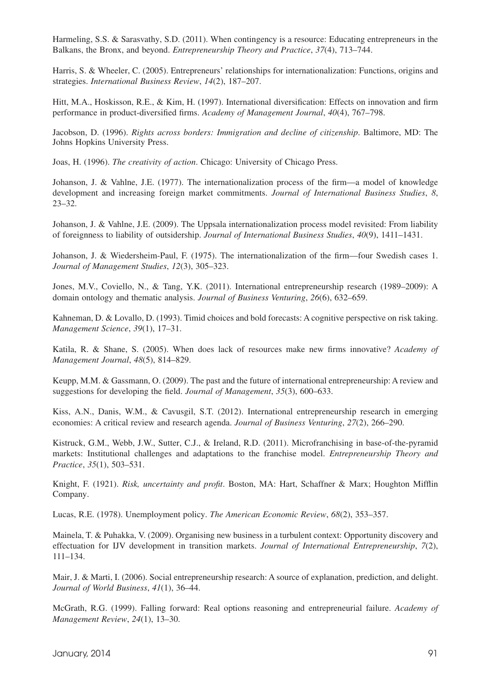Harmeling, S.S. & Sarasvathy, S.D. (2011). When contingency is a resource: Educating entrepreneurs in the Balkans, the Bronx, and beyond. *Entrepreneurship Theory and Practice*, *37*(4), 713–744.

Harris, S. & Wheeler, C. (2005). Entrepreneurs' relationships for internationalization: Functions, origins and strategies. *International Business Review*, *14*(2), 187–207.

Hitt, M.A., Hoskisson, R.E., & Kim, H. (1997). International diversification: Effects on innovation and firm performance in product-diversified firms. *Academy of Management Journal*, *40*(4), 767–798.

Jacobson, D. (1996). *Rights across borders: Immigration and decline of citizenship*. Baltimore, MD: The Johns Hopkins University Press.

Joas, H. (1996). *The creativity of action*. Chicago: University of Chicago Press.

Johanson, J. & Vahlne, J.E. (1977). The internationalization process of the firm—a model of knowledge development and increasing foreign market commitments. *Journal of International Business Studies*, *8*, 23–32.

Johanson, J. & Vahlne, J.E. (2009). The Uppsala internationalization process model revisited: From liability of foreignness to liability of outsidership. *Journal of International Business Studies*, *40*(9), 1411–1431.

Johanson, J. & Wiedersheim-Paul, F. (1975). The internationalization of the firm—four Swedish cases 1. *Journal of Management Studies*, *12*(3), 305–323.

Jones, M.V., Coviello, N., & Tang, Y.K. (2011). International entrepreneurship research (1989–2009): A domain ontology and thematic analysis. *Journal of Business Venturing*, *26*(6), 632–659.

Kahneman, D. & Lovallo, D. (1993). Timid choices and bold forecasts: A cognitive perspective on risk taking. *Management Science*, *39*(1), 17–31.

Katila, R. & Shane, S. (2005). When does lack of resources make new firms innovative? *Academy of Management Journal*, *48*(5), 814–829.

Keupp, M.M. & Gassmann, O. (2009). The past and the future of international entrepreneurship: A review and suggestions for developing the field. *Journal of Management*, *35*(3), 600–633.

Kiss, A.N., Danis, W.M., & Cavusgil, S.T. (2012). International entrepreneurship research in emerging economies: A critical review and research agenda. *Journal of Business Venturing*, *27*(2), 266–290.

Kistruck, G.M., Webb, J.W., Sutter, C.J., & Ireland, R.D. (2011). Microfranchising in base-of-the-pyramid markets: Institutional challenges and adaptations to the franchise model. *Entrepreneurship Theory and Practice*, *35*(1), 503–531.

Knight, F. (1921). *Risk, uncertainty and profit*. Boston, MA: Hart, Schaffner & Marx; Houghton Mifflin Company.

Lucas, R.E. (1978). Unemployment policy. *The American Economic Review*, *68*(2), 353–357.

Mainela, T. & Puhakka, V. (2009). Organising new business in a turbulent context: Opportunity discovery and effectuation for IJV development in transition markets. *Journal of International Entrepreneurship*, *7*(2), 111–134.

Mair, J. & Marti, I. (2006). Social entrepreneurship research: A source of explanation, prediction, and delight. *Journal of World Business*, *41*(1), 36–44.

McGrath, R.G. (1999). Falling forward: Real options reasoning and entrepreneurial failure. *Academy of Management Review*, *24*(1), 13–30.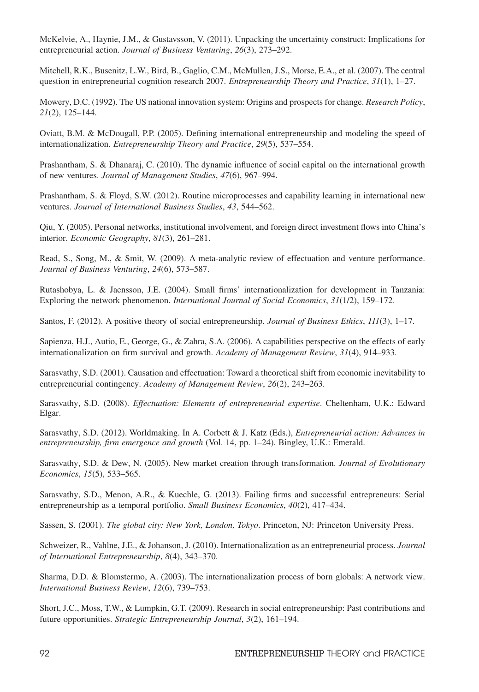McKelvie, A., Haynie, J.M., & Gustavsson, V. (2011). Unpacking the uncertainty construct: Implications for entrepreneurial action. *Journal of Business Venturing*, *26*(3), 273–292.

Mitchell, R.K., Busenitz, L.W., Bird, B., Gaglio, C.M., McMullen, J.S., Morse, E.A., et al. (2007). The central question in entrepreneurial cognition research 2007. *Entrepreneurship Theory and Practice*, *31*(1), 1–27.

Mowery, D.C. (1992). The US national innovation system: Origins and prospects for change. *Research Policy*, *21*(2), 125–144.

Oviatt, B.M. & McDougall, P.P. (2005). Defining international entrepreneurship and modeling the speed of internationalization. *Entrepreneurship Theory and Practice*, *29*(5), 537–554.

Prashantham, S. & Dhanaraj, C. (2010). The dynamic influence of social capital on the international growth of new ventures. *Journal of Management Studies*, *47*(6), 967–994.

Prashantham, S. & Floyd, S.W. (2012). Routine microprocesses and capability learning in international new ventures. *Journal of International Business Studies*, *43*, 544–562.

Qiu, Y. (2005). Personal networks, institutional involvement, and foreign direct investment flows into China's interior. *Economic Geography*, *81*(3), 261–281.

Read, S., Song, M., & Smit, W. (2009). A meta-analytic review of effectuation and venture performance. *Journal of Business Venturing*, *24*(6), 573–587.

Rutashobya, L. & Jaensson, J.E. (2004). Small firms' internationalization for development in Tanzania: Exploring the network phenomenon. *International Journal of Social Economics*, *31*(1/2), 159–172.

Santos, F. (2012). A positive theory of social entrepreneurship. *Journal of Business Ethics*, *111*(3), 1–17.

Sapienza, H.J., Autio, E., George, G., & Zahra, S.A. (2006). A capabilities perspective on the effects of early internationalization on firm survival and growth. *Academy of Management Review*, *31*(4), 914–933.

Sarasvathy, S.D. (2001). Causation and effectuation: Toward a theoretical shift from economic inevitability to entrepreneurial contingency. *Academy of Management Review*, *26*(2), 243–263.

Sarasvathy, S.D. (2008). *Effectuation: Elements of entrepreneurial expertise*. Cheltenham, U.K.: Edward Elgar.

Sarasvathy, S.D. (2012). Worldmaking. In A. Corbett & J. Katz (Eds.), *Entrepreneurial action: Advances in entrepreneurship, firm emergence and growth* (Vol. 14, pp. 1–24). Bingley, U.K.: Emerald.

Sarasvathy, S.D. & Dew, N. (2005). New market creation through transformation. *Journal of Evolutionary Economics*, *15*(5), 533–565.

Sarasvathy, S.D., Menon, A.R., & Kuechle, G. (2013). Failing firms and successful entrepreneurs: Serial entrepreneurship as a temporal portfolio. *Small Business Economics*, *40*(2), 417–434.

Sassen, S. (2001). *The global city: New York, London, Tokyo*. Princeton, NJ: Princeton University Press.

Schweizer, R., Vahlne, J.E., & Johanson, J. (2010). Internationalization as an entrepreneurial process. *Journal of International Entrepreneurship*, *8*(4), 343–370.

Sharma, D.D. & Blomstermo, A. (2003). The internationalization process of born globals: A network view. *International Business Review*, *12*(6), 739–753.

Short, J.C., Moss, T.W., & Lumpkin, G.T. (2009). Research in social entrepreneurship: Past contributions and future opportunities. *Strategic Entrepreneurship Journal*, *3*(2), 161–194.